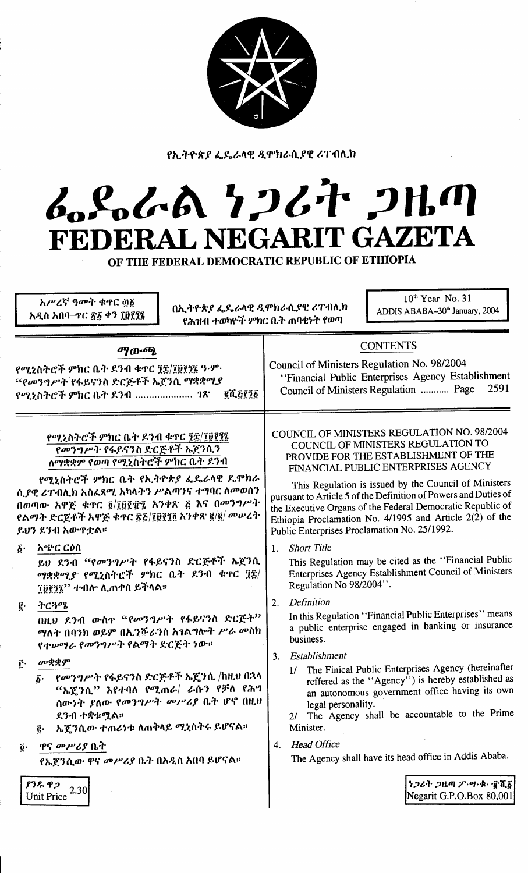

የኢትዮጵያ ፌዴራላዊ ዲሞክራሲያዊ ሪፐብሊክ

# んとんめ クンムヤ クルの FEDERAL NEGARIT GAZETA

OF THE FEDERAL DEMOCRATIC REPUBLIC OF ETHIOPIA

| አሥረኛ ዓመት ቁዋር ፴፩<br>በኢትዮጵያ ፌዴራላዊ ዲሞክራሲያዊ ሪፐብሊክ<br>አዲስ አበባ–ተር ፳፩ ቀን ፲፱፻፺፮<br>የሕዝብ ተወካዮች ምክር ቤት ጠባቂነት የወጣ                                                                                              | $10th$ Year No. 31<br>ADDIS ABABA-30 <sup>th</sup> January, 2004                                                                                                                                                                                                           |
|-----------------------------------------------------------------------------------------------------------------------------------------------------------------------------------------------------|----------------------------------------------------------------------------------------------------------------------------------------------------------------------------------------------------------------------------------------------------------------------------|
| ማውጫ                                                                                                                                                                                                 | <b>CONTENTS</b>                                                                                                                                                                                                                                                            |
| የሚኒስትሮች ምክር ቤት ደንብ ቁዋር ፺፰/፲፱፻፺፮ ዓ·ም·                                                                                                                                                                | Council of Ministers Regulation No. 98/2004                                                                                                                                                                                                                                |
| "የመንግሥት የፋይናንስ ድርጅቶች ኤጀንሲ ማቋቋሚያ                                                                                                                                                                     | "Financial Public Enterprises Agency Establishment                                                                                                                                                                                                                         |
| <b>@N.&amp;YI&amp;</b>                                                                                                                                                                              | 2591                                                                                                                                                                                                                                                                       |
| የሚኒስትሮች ምክር ቤት ደንብ <i>1</i> ጽ                                                                                                                                                                       | Council of Ministers Regulation  Page                                                                                                                                                                                                                                      |
| የሚኒስትሮች ምክር ቤት ደንብ ቁዋር ፺፰/፲፱፻፺፮<br>የመንግሥት የፋይናንስ ድርጅቶች ኤጀንሲን<br>ለማቋቋም የወጣ የሚኒስትሮች ምክር ቤት ደንብ                                                                                                        | COUNCIL OF MINISTERS REGULATION NO. 98/2004<br>COUNCIL OF MINISTERS REGULATION TO<br>PROVIDE FOR THE ESTABLISHMENT OF THE<br>FINANCIAL PUBLIC ENTERPRISES AGENCY                                                                                                           |
| የሚኒስትሮች ምክር ቤት የኢትዮጵያ ፌዴራላዊ ዴሞክራ                                                                                                                                                                    | This Regulation is issued by the Council of Ministers                                                                                                                                                                                                                      |
| ሲያዊ ሪፐብሊክ አስፌጻሚ አካላትን ሥልጣንና ተግባር ለመወሰን                                                                                                                                                              | pursuant to Article 5 of the Definition of Powers and Duties of                                                                                                                                                                                                            |
| በወጣው አዋጅ ቁጥር ፬/፲፱፻፹፯ አንቀጽ ፭ እና በመንግሥት                                                                                                                                                               | the Executive Organs of the Federal Democratic Republic of                                                                                                                                                                                                                 |
| የልማት ድርጀቶች አዋጅ ቁዋር <u>ጽ</u> ፩/፲፱፻፺፬ አንቀጽ ፪/፪/ መሠረት                                                                                                                                                  | Ethiopia Proclamation No. 4/1995 and Article 2(2) of the                                                                                                                                                                                                                   |
| ይሀን ደንብ አውዋቷል።                                                                                                                                                                                      | Public Enterprises Proclamation No. 25/1992.                                                                                                                                                                                                                               |
| አጭር ርዕስ                                                                                                                                                                                             | <b>Short Title</b>                                                                                                                                                                                                                                                         |
| $\boldsymbol{\delta}$ .                                                                                                                                                                             | 1.                                                                                                                                                                                                                                                                         |
| ይህ ደንብ "የመንግሥት የፋይናንስ ድርጅቶች ኤጀንሲ                                                                                                                                                                    | This Regulation may be cited as the "Financial Public                                                                                                                                                                                                                      |
| ማቋቋሚያ የሚኒስትሮች ምክር ቤት ደንብ ቁጥር ፺፰/                                                                                                                                                                    | Enterprises Agency Establishment Council of Ministers                                                                                                                                                                                                                      |
| ፲፱፻፺፯'' ተብሎ ሊጠቀስ ይችላል።                                                                                                                                                                              | Regulation No 98/2004".                                                                                                                                                                                                                                                    |
| ትርጓሜ                                                                                                                                                                                                | Definition                                                                                                                                                                                                                                                                 |
| ĝ.                                                                                                                                                                                                  | 2.                                                                                                                                                                                                                                                                         |
| በዚህ ደንብ ውስዋ "የመንግሥት የፋይናንስ ድርጅት"                                                                                                                                                                    | In this Regulation "Financial Public Enterprises" means                                                                                                                                                                                                                    |
| ማለት በባንክ ወይም በኢንሹራንስ አገልግሎት <i>ሥራ መ</i> ስክ                                                                                                                                                          | a public enterprise engaged in banking or insurance                                                                                                                                                                                                                        |
| የተሥማራ የመንግሥት የልማት ድርጅት ነው።                                                                                                                                                                          | business.                                                                                                                                                                                                                                                                  |
| መቋቋም<br>ŕ٠<br>የመንግሥት የፋይናንስ ድርጅቶች ኤጄንሲ /ከዚህ በኋላ<br>$\boldsymbol{\delta}$ .<br>"ኤጀንሲ" እየተባለ የሚጠራ/ ራሱን የቻለ የሕግ<br>ሰውነት ያለው የመንግሥት መሥሪያ ቤት ሆኖ በዚህ<br>ደንብ ተቋቁሟል።<br>ኤጄንሲው ተጠሪነቱ ለጠቅላይ ሚኒስትሩ ይሆናል።<br>ĝ. | 3. Establishment<br>1/ The Finical Public Enterprises Agency (hereinafter<br>reffered as the "Agency") is hereby established as<br>an autonomous government office having its own<br>legal personality.<br>The Agency shall be accountable to the Prime<br>2l<br>Minister. |
| <i>ዋና መሥሪያ</i> ቤት                                                                                                                                                                                   | <b>Head Office</b>                                                                                                                                                                                                                                                         |
| $\overline{0}$ .                                                                                                                                                                                    | 4.                                                                                                                                                                                                                                                                         |
| የኤጀንሲው ዋና መሥሪያ ቤት በአዲስ አበባ ይሆናል።                                                                                                                                                                    | The Agency shall have its head office in Addis Ababa.                                                                                                                                                                                                                      |
| ያንዱ ዋጋ<br>2.30<br>Unit Price                                                                                                                                                                        | ነጋሪት ጋዜጣ ፖ・ሣ・ቁ・ ፹ሺ፩<br>Negarit G.P.O.Box 80,001                                                                                                                                                                                                                            |